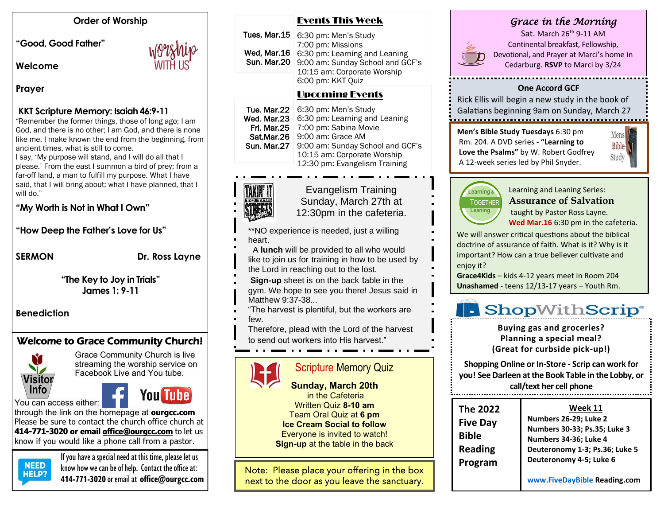#### **Order of Worship**

**"Good, Good Father"** 

**Welcome** 

#### **Prayer**

#### **KKT Scripture Memory: Isaiah 46:9-11**

"Remember the former things, those of long ago; I am God, and there is no other; I am God, and there is none like me. I make known the end from the beginning, from ancient times, what is still to come.

I say, 'My purpose will stand, and I will do all that I please.' From the east I summon a bird of prey; from a far-off land, a man to fulfill my purpose. What I have said, that I will bring about; what I have planned, that I will do."

#### **"My Worth is Not in What I Own"**

**"How Deep the Father's Love for Us"**

SERMON Dr. Ross Layne

**"The Key to Joy in Trials" James 1: 9-11**

**Benediction**

# Welcome to Grace Community Church!



Grace Community Church is live streaming the worship service on Facebook Live and You tube.

You **Tu**he

through the link on the homepage at **ourgcc.com**  Please be sure to contact the church office church at **414-771-3020 or email [office@ourgcc.com](mailto:office@ourgcc.com)** to let us know if you would like a phone call from a pastor.



If you have a special need at this time, please let us<br>NEED linew housing see he of help. Content the office of  $R = 1$  know how we can be of help. Contact the office at: **414-771-3020** or email at **[office@ourgcc.com](mailto:office@ourgcc.com)**

#### Events This Week

|            | Tues. Mar.15 $\mid$ 6:30 pm: Men's Study<br>7:00 pm: Missions                                                                       |
|------------|-------------------------------------------------------------------------------------------------------------------------------------|
| Sun Mar.20 | Wed, Mar.16   6:30 pm: Learning and Leaning<br>9:00 am: Sunday School and GCF's<br>10:15 am: Corporate Worship<br>6:00 pm: KKT Quiz |
|            |                                                                                                                                     |

# Upcoming Events

**Tue. Mar.22** 6:30 pm: Men's Study Wed. Mar.23 6:30 pm: Learning and Leaning Fri. Mar.25 7:00 pm: Sabina Movie Sat.Mar.26 | 9:00 am: Grace AM Sun. Mar.27 9:00 am: Sunday School and GCF's 10:15 am: Corporate Worship 12:30 pm: Evangelism Training



Evangelism Training Sunday, March 27th at 12:30pm in the cafeteria.

\*\*NO experience is needed, just a willing heart.

- A **lunch** will be provided to all who would like to join us for training in how to be used by the Lord in reaching out to the lost.
- **Sign-up** sheet is on the back table in the

gym. We hope to see you there! Jesus said in Matthew 9:37-38...

"The harvest is plentiful, but the workers are

few.

Therefore, plead with the Lord of the harvest

to send out workers into His harvest."

# Scripture Memory Quiz

**Sunday, March 20th** in the Cafeteria Written Quiz **8-10 am**  Team Oral Quiz at **6 pm Ice Cream Social to follow** Everyone is invited to watch! **Sign-up** at the table in the back

Note: Please place your offering in the box next to the door as you leave the sanctuary.

# *Grace in the Morning*



Sat. March 26<sup>th</sup> 9-11 AM Continental breakfast, Fellowship, Devotional, and Prayer at Marci's home in Cedarburg. **RSVP** to Marci by 3/24

#### **One Accord GCF**

Rick Ellis will begin a new study in the book of Galatians beginning 9am on Sunday, March 27

**Men's Bible Study Tuesdays** 6:30 pm Rm. 204. A DVD series - **"Learning to Love the Psalms"** by W. Robert Godfrey A 12-week series led by Phil Snyder.





Learning and Leaning Series: **Assurance of Salvation**

taught by Pastor Ross Layne. **Wed Mar.16** 6:30 pm in the cafeteria.

We will answer critical questions about the biblical doctrine of assurance of faith. What is it? Why is it important? How can a true believer cultivate and enjoy it?

**Grace4Kids** – kids 4-12 years meet in Room 204 **Unashamed** - teens 12/13-17 years – Youth Rm.

# **. ShopWithScrip**®

**Buying gas and groceries? Planning a special meal? (Great for curbside pick-up!)**

**Shopping Online or In-Store - Scrip can work for you! See Darleen at the Book Table in the Lobby, or call/text her cell phone**

| <b>The 2022</b><br><b>Five Day</b> | Week 11<br>Numbers 26-29; Luke 2<br>Numbers 30-33; Ps.35; Luke 3<br>Numbers 34-36; Luke 4<br>Deuteronomy 1-3; Ps.36; Luke 5<br>Deuteronomy 4-5; Luke 6 |
|------------------------------------|--------------------------------------------------------------------------------------------------------------------------------------------------------|
| <b>Bible</b><br><b>Reading</b>     |                                                                                                                                                        |
| Program                            |                                                                                                                                                        |

purchased. **[www.FiveDayBible](http://www.fivedaybible/) Reading.com See Darleen at the Book Table in the Lobby, or** 

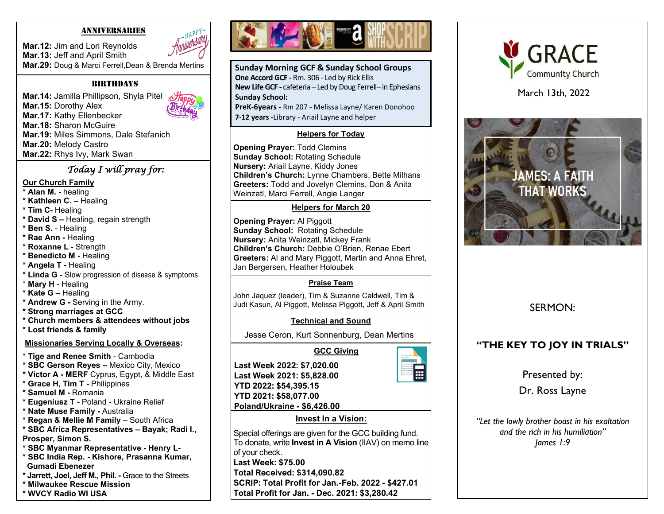#### ANNIVERSARIES

**Mar.12:** Jim and Lori Reynolds **Mar.13:** Jeff and April Smith **Mar.29:** Doug & Marci Ferrell,Dean & Brenda Mertins

#### **BIRTHDAYS**

**Mar.14:** Jamilla Phillipson, Shyla Pitel **Mar.15:** Dorothy Alex **Mar.17:** Kathy Ellenbecker **Mar.18:** Sharon McGuire **Mar.19:** Miles Simmons, Dale Stefanich **Mar.20:** Melody Castro **Mar.22:** Rhys Ivy, Mark Swan

#### *Today I will pray for:*

#### **Our Church Family**

- **\* Alan M. -** healing
- **\* Kathleen C. –** Healing
- **\* Tim C-** Healing
- **\* David S –** Healing, regain strength
- **\* Ben S.** Healing
- **\* Rae Ann -** Healing
- **\* Roxanne L**  Strength
- **\* Benedicto M -** Healing
- **\* Angela T -** Healing
- **\* Linda G -** Slow progression of disease & symptoms
- \* **Mary H**  Healing
- **\* Kate G –** Healing
- **\* Andrew G -** Serving in the Army.
- **\* Strong marriages at GCC**
- **\* Church members & attendees without jobs**
- **\* Lost friends & family**

#### **Missionaries Serving Locally & Overseas:**

- \* **Tige and Renee Smith** Cambodia
- **\* SBC Gerson Reyes –** Mexico City, Mexico
- **\* Victor A - MERF** Cyprus, Egypt, & Middle East
- **\* Grace H, Tim T -** Philippines
- **\* Samuel M -** Romania
- **\* Eugeniusz T -** Poland Ukraine Relief
- **\* Nate Muse Family -** Australia
- **\* Regan & Mellie M Family**  South Africa
- **\* SBC Africa Representatives – Bayak; Radi I.,**
- **Prosper, Simon S.**
- **\* SBC Myanmar Representative - Henry L-**
- **\* SBC India Rep. - Kishore, Prasanna Kumar, Gumadi Ebenezer**
- **\* Jarrett, Joel, Jeff M., Phil. -** Grace to the Streets
- **\* Milwaukee Rescue Mission**
- **\* WVCY Radio WI USA**



**Sunday Morning GCF & Sunday School Groups One Accord GCF -** Rm. 306 - Led by Rick Ellis **New Life GCF -** cafeteria – Led by Doug Ferrell– in Ephesians **Sunday School:**

**PreK-6years -** Rm 207 - Melissa Layne/ Karen Donohoo **7-12 years -**Library - Ariail Layne and helper

### **Helpers for Today**

**Opening Prayer:** Todd Clemins **Sunday School:** Rotating Schedule **Nursery:** Ariail Layne, Kiddy Jones **Children's Church:** Lynne Chambers, Bette Milhans **Greeters:** Todd and Jovelyn Clemins, Don & Anita Weinzatl, Marci Ferrell, Angie Langer

#### **Helpers for March 20**

 **Children's Church:** Debbie O'Brien, Renae Ebert **Opening Prayer:** Al Piggott **Sunday School:** Rotating Schedule **Nursery:** Anita Weinzatl, Mickey Frank **Greeters:** Al and Mary Piggott, Martin and Anna Ehret, Jan Bergersen, Heather Holoubek

# **Praise Team**

John Jaquez (leader), Tim & Suzanne Caldwell, Tim & Judi Kasun, Al Piggott, Melissa Piggott, Jeff & April Smith

# **Technical and Sound**

Jesse Ceron, Kurt Sonnenburg, Dean Mertins

 **GCC Giving**



**Last Week 2022: \$7,020.00 Last Week 2021: \$5,828.00 YTD 2022: \$54,395.15 YTD 2021: \$58,077.00 Poland/Ukraine - \$6,426.00**

# **Invest In a Vision:**

Special offerings are given for the GCC building fund. To donate, write **Invest in A Vision** (IIAV) on memo line of your check. **Last Week: \$75.00 Total Received: \$314,090.82 SCRIP: Total Profit for Jan.-Feb. 2022 - \$427.01 Total Profit for Jan. - Dec. 2021: \$3,280.42**



March 13th, 2022



# SERMON:

# **"THE KEY TO JOY IN TRIALS"**

Presented by:

Dr. Ross Layne

*"Let the lowly brother boast in his exaltation and the rich in his humiliation" James 1:9*